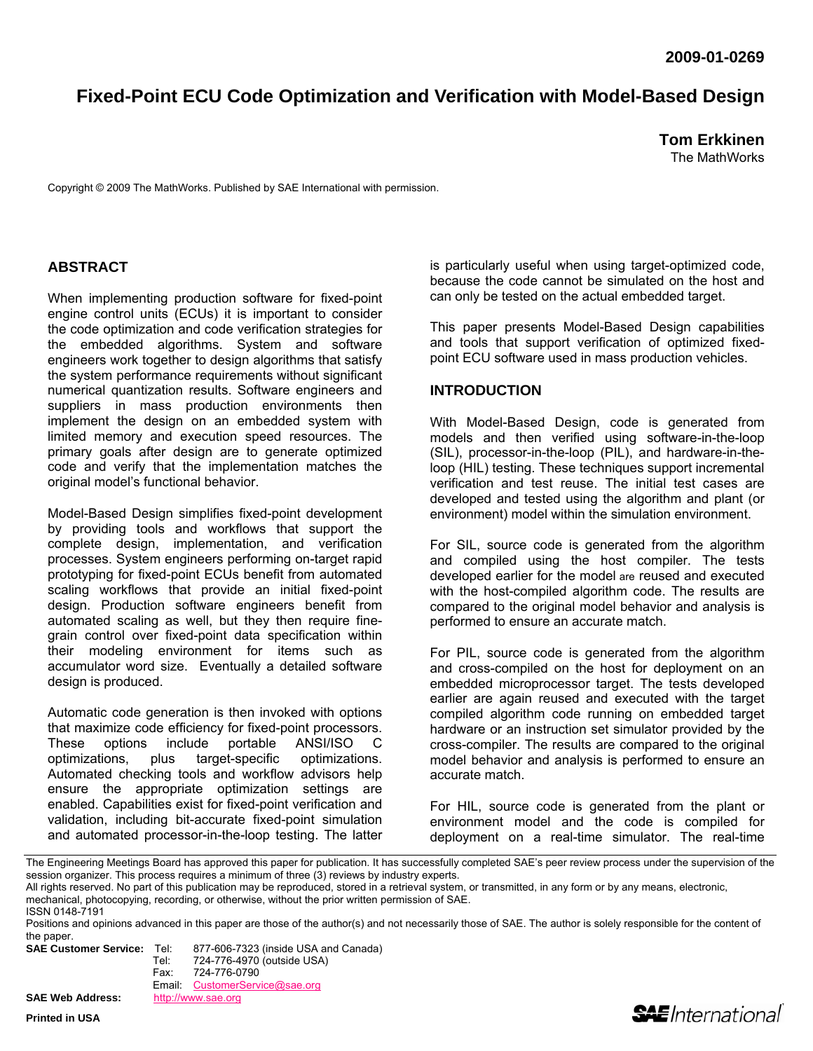# **Fixed-Point ECU Code Optimization and Verification with Model-Based Design**

**Tom Erkkinen**  The MathWorks

Copyright © 2009 The MathWorks. Published by SAE International with permission.

# **ABSTRACT**

When implementing production software for fixed-point engine control units (ECUs) it is important to consider the code optimization and code verification strategies for the embedded algorithms. System and software engineers work together to design algorithms that satisfy the system performance requirements without significant numerical quantization results. Software engineers and suppliers in mass production environments then implement the design on an embedded system with limited memory and execution speed resources. The primary goals after design are to generate optimized code and verify that the implementation matches the original model's functional behavior.

Model-Based Design simplifies fixed-point development by providing tools and workflows that support the complete design, implementation, and verification processes. System engineers performing on-target rapid prototyping for fixed-point ECUs benefit from automated scaling workflows that provide an initial fixed-point design. Production software engineers benefit from automated scaling as well, but they then require finegrain control over fixed-point data specification within their modeling environment for items such as accumulator word size. Eventually a detailed software design is produced.

Automatic code generation is then invoked with options that maximize code efficiency for fixed-point processors. These options include portable ANSI/ISO C optimizations, plus target-specific optimizations. Automated checking tools and workflow advisors help ensure the appropriate optimization settings are enabled. Capabilities exist for fixed-point verification and validation, including bit-accurate fixed-point simulation and automated processor-in-the-loop testing. The latter

is particularly useful when using target-optimized code, because the code cannot be simulated on the host and can only be tested on the actual embedded target.

This paper presents Model-Based Design capabilities and tools that support verification of optimized fixedpoint ECU software used in mass production vehicles.

## **INTRODUCTION**

With Model-Based Design, code is generated from models and then verified using software-in-the-loop (SIL), processor-in-the-loop (PIL), and hardware-in-theloop (HIL) testing. These techniques support incremental verification and test reuse. The initial test cases are developed and tested using the algorithm and plant (or environment) model within the simulation environment.

For SIL, source code is generated from the algorithm and compiled using the host compiler. The tests developed earlier for the model are reused and executed with the host-compiled algorithm code. The results are compared to the original model behavior and analysis is performed to ensure an accurate match.

For PIL, source code is generated from the algorithm and cross-compiled on the host for deployment on an embedded microprocessor target. The tests developed earlier are again reused and executed with the target compiled algorithm code running on embedded target hardware or an instruction set simulator provided by the cross-compiler. The results are compared to the original model behavior and analysis is performed to ensure an accurate match.

For HIL, source code is generated from the plant or environment model and the code is compiled for deployment on a real-time simulator. The real-time

| <b>SAE Customer Service: Tel:</b> |                    | 877-606-7323 (inside USA and Canada) |  |
|-----------------------------------|--------------------|--------------------------------------|--|
|                                   | Tel:               | 724-776-4970 (outside USA)           |  |
|                                   |                    | Fax: 724-776-0790                    |  |
|                                   |                    | Email: CustomerService@sae.org       |  |
| SAE Web Address:                  | http://www.sae.org |                                      |  |



The Engineering Meetings Board has approved this paper for publication. It has successfully completed SAE's peer review process under the supervision of the session organizer. This process requires a minimum of three (3) reviews by industry experts.

All rights reserved. No part of this publication may be reproduced, stored in a retrieval system, or transmitted, in any form or by any means, electronic, mechanical, photocopying, recording, or otherwise, without the prior written permission of SAE.

ISSN 0148-7191

Positions and opinions advanced in this paper are those of the author(s) and not necessarily those of SAE. The author is solely responsible for the content of the paper.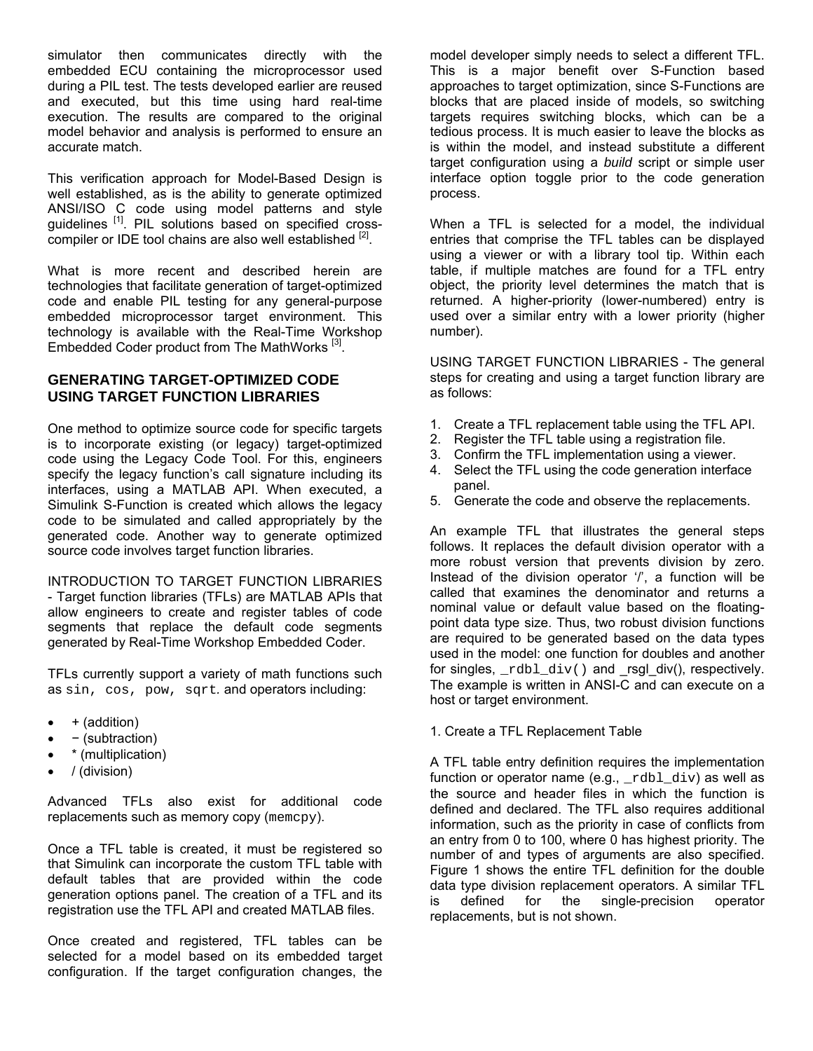simulator then communicates directly with the embedded ECU containing the microprocessor used during a PIL test. The tests developed earlier are reused and executed, but this time using hard real-time execution. The results are compared to the original model behavior and analysis is performed to ensure an accurate match.

This verification approach for Model-Based Design is well established, as is the ability to generate optimized ANSI/ISO C code using model patterns and style guidelines [1]. PIL solutions based on specified crosscompiler or IDE tool chains are also well established  $^{[2]}$ .

What is more recent and described herein are technologies that facilitate generation of target-optimized code and enable PIL testing for any general-purpose embedded microprocessor target environment. This technology is available with the Real-Time Workshop Embedded Coder product from The MathWorks<sup>[3]</sup>.

# **GENERATING TARGET-OPTIMIZED CODE USING TARGET FUNCTION LIBRARIES**

One method to optimize source code for specific targets is to incorporate existing (or legacy) target-optimized code using the Legacy Code Tool. For this, engineers specify the legacy function's call signature including its interfaces, using a MATLAB API. When executed, a Simulink S-Function is created which allows the legacy code to be simulated and called appropriately by the generated code. Another way to generate optimized source code involves target function libraries.

INTRODUCTION TO TARGET FUNCTION LIBRARIES - Target function libraries (TFLs) are MATLAB APIs that allow engineers to create and register tables of code segments that replace the default code segments generated by Real-Time Workshop Embedded Coder.

TFLs currently support a variety of math functions such as sin, cos, pow, sqrt*.* and operators including:

- $\bullet$  + (addition)
- − (subtraction)
- \* (multiplication)
- / (division)

Advanced TFLs also exist for additional code replacements such as memory copy (memcpy).

Once a TFL table is created, it must be registered so that Simulink can incorporate the custom TFL table with default tables that are provided within the code generation options panel. The creation of a TFL and its registration use the TFL API and created MATLAB files.

Once created and registered, TFL tables can be selected for a model based on its embedded target configuration. If the target configuration changes, the

model developer simply needs to select a different TFL. This is a major benefit over S-Function based approaches to target optimization, since S-Functions are blocks that are placed inside of models, so switching targets requires switching blocks, which can be a tedious process. It is much easier to leave the blocks as is within the model, and instead substitute a different target configuration using a *build* script or simple user interface option toggle prior to the code generation process.

When a TFL is selected for a model, the individual entries that comprise the TFL tables can be displayed using a viewer or with a library tool tip. Within each table, if multiple matches are found for a TFL entry object, the priority level determines the match that is returned. A higher-priority (lower-numbered) entry is used over a similar entry with a lower priority (higher number).

USING TARGET FUNCTION LIBRARIES - The general steps for creating and using a target function library are as follows:

- 1. Create a TFL replacement table using the TFL API.
- 2. Register the TFL table using a registration file.
- 3. Confirm the TFL implementation using a viewer.
- 4. Select the TFL using the code generation interface panel.
- 5. Generate the code and observe the replacements.

An example TFL that illustrates the general steps follows. It replaces the default division operator with a more robust version that prevents division by zero. Instead of the division operator '/', a function will be called that examines the denominator and returns a nominal value or default value based on the floatingpoint data type size. Thus, two robust division functions are required to be generated based on the data types used in the model: one function for doubles and another for singles,  $_rdb1_div()$  and rsgl div(), respectively. The example is written in ANSI-C and can execute on a host or target environment.

#### 1. Create a TFL Replacement Table

A TFL table entry definition requires the implementation function or operator name (e.g.,  $\_rdbl\_div$ ) as well as the source and header files in which the function is defined and declared. The TFL also requires additional information, such as the priority in case of conflicts from an entry from 0 to 100, where 0 has highest priority. The number of and types of arguments are also specified. Figure 1 shows the entire TFL definition for the double data type division replacement operators. A similar TFL is defined for the single-precision operator replacements, but is not shown.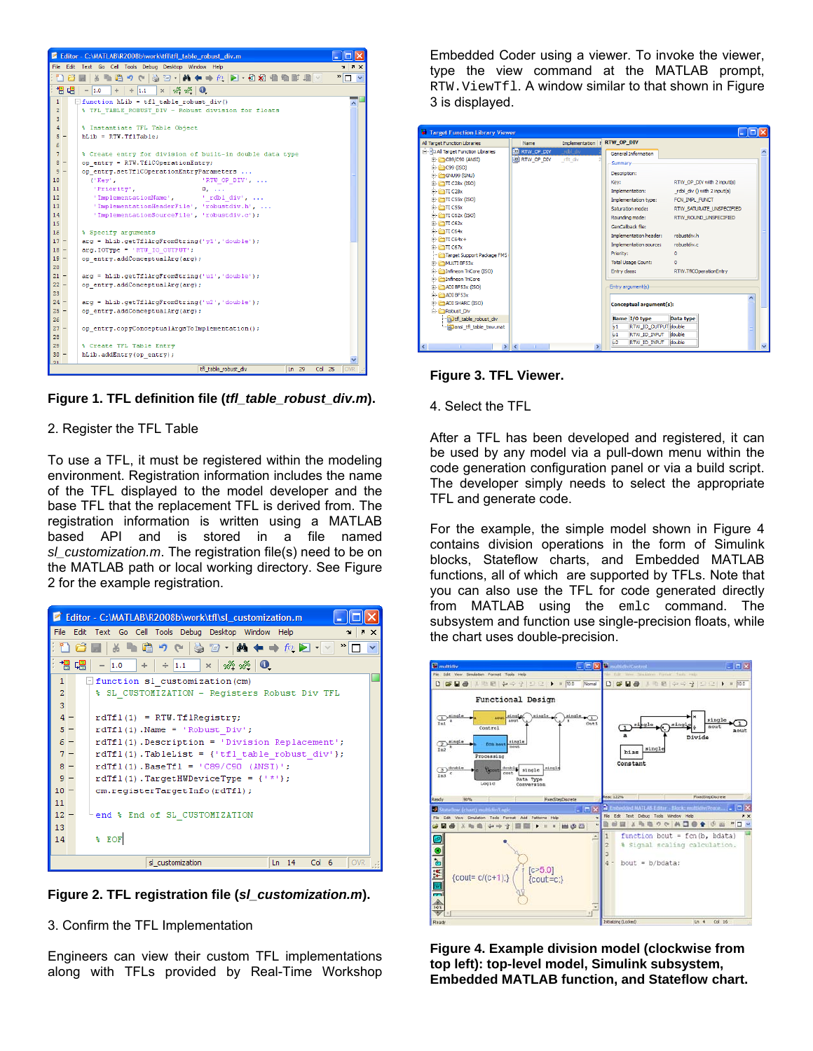

**Figure 1. TFL definition file (***tfl\_table\_robust\_div.m***).** 

## 2. Register the TFL Table

To use a TFL, it must be registered within the modeling environment. Registration information includes the name of the TFL displayed to the model developer and the base TFL that the replacement TFL is derived from. The registration information is written using a MATLAB based API and is stored in a file named *sl\_customization.m*. The registration file(s) need to be on the MATLAB path or local working directory. See Figure 2 for the example registration.



**Figure 2. TFL registration file (***sl\_customization.m***).** 

3. Confirm the TFL Implementation

Engineers can view their custom TFL implementations along with TFLs provided by Real-Time Workshop

Embedded Coder using a viewer. To invoke the viewer, type the view command at the MATLAB prompt, RTW.ViewTfl. A window similar to that shown in Figure 3 is displayed.

| <b>C</b> Target Function Library Viewer |                                    |                             |                                     |                             |  |
|-----------------------------------------|------------------------------------|-----------------------------|-------------------------------------|-----------------------------|--|
| All Target Function Libraries           | Name                               | Implementation N RTW_OP_DIV |                                     |                             |  |
| - Ra All Target Function Libraries      | <b>D</b> RTW OP DIV                | rdbl div                    | <b>General Information</b>          |                             |  |
| E-C89/C90 (ANSI)                        | <b>P RTW OP DIV</b>                | rflt div                    | Summary                             |                             |  |
| $F - F = C99$ (ISO)                     |                                    |                             |                                     |                             |  |
| FI-CONU99 (GNU)                         |                                    |                             | Description:                        |                             |  |
| <b>E-F TI C28x (ISO)</b>                |                                    |                             | Kev:                                | RTW OP DIV with 2 input(s)  |  |
| $F - T = C28x$                          |                                    |                             | Implementation:                     | rdbl div () with 2 input(s) |  |
| $F - T = C55x$ (ISO)                    |                                    |                             | Implementation type:                | FCN IMPL FUNCT              |  |
| $F - F = TC55x$                         |                                    |                             | Saturation mode:                    | RTW SATURATE UNSPECIFIED    |  |
| $\Box$ TI C62x (ISO)                    |                                    |                             | Rounding mode:                      | RTW ROUND UNSPECIFIED       |  |
| $F - F = TC62x$                         |                                    |                             | GenCalback file:                    |                             |  |
| $F - F = TC64x$                         |                                    |                             | Implementation header:              | robustdiv.h.                |  |
| $F - F = TC64x +$                       |                                    |                             | Implementation source:              | robustdiv.c                 |  |
| $F - F = TC67x$                         |                                    |                             | Priority:                           | 0                           |  |
| Target Support Package FM5              |                                    |                             |                                     |                             |  |
| <b>FI-ROMULTI BF53x</b>                 |                                    |                             | <b>Total Usage Count:</b>           | n                           |  |
| in-Cainfineon TriCore (ISO)             |                                    |                             | Entry dass:                         | RTW.TfICOperationEntry      |  |
| <b>File Infineon TriCore</b>            |                                    |                             |                                     |                             |  |
| <b>H-COADI BF53x (ISO)</b>              |                                    |                             | Entry aroument(s)                   |                             |  |
| <b>FI-REDADI BF53x</b>                  |                                    |                             |                                     |                             |  |
| ADI SHARC (ISO)                         |                                    |                             | Conceptual argument(s):             |                             |  |
| <b>Robust Div</b>                       |                                    |                             |                                     |                             |  |
| in able robust div                      |                                    |                             | Name 1/0 type                       | <b>Data type</b>            |  |
| and ansi tfl table tmw.mat              |                                    |                             | RTW IO OUTPUT double<br>$_{\rm V1}$ |                             |  |
|                                         |                                    |                             | RTW IO INPUT<br>u1                  | double<br>double            |  |
| $\rightarrow$<br><b>III</b>             | $\left\langle \right\rangle$<br>m. |                             | RTW IO INPUT<br>$\mathsf{u2}$       |                             |  |

**Figure 3. TFL Viewer.** 

## 4. Select the TFL

After a TFL has been developed and registered, it can be used by any model via a pull-down menu within the code generation configuration panel or via a build script. The developer simply needs to select the appropriate TFL and generate code.

For the example, the simple model shown in Figure 4 contains division operations in the form of Simulink blocks, Stateflow charts, and Embedded MATLAB functions, all of which are supported by TFLs. Note that you can also use the TFL for code generated directly from MATLAB using the emlc command. The subsystem and function use single-precision floats, while the chart uses double-precision.



**Figure 4. Example division model (clockwise from top left): top-level model, Simulink subsystem, Embedded MATLAB function, and Stateflow chart.**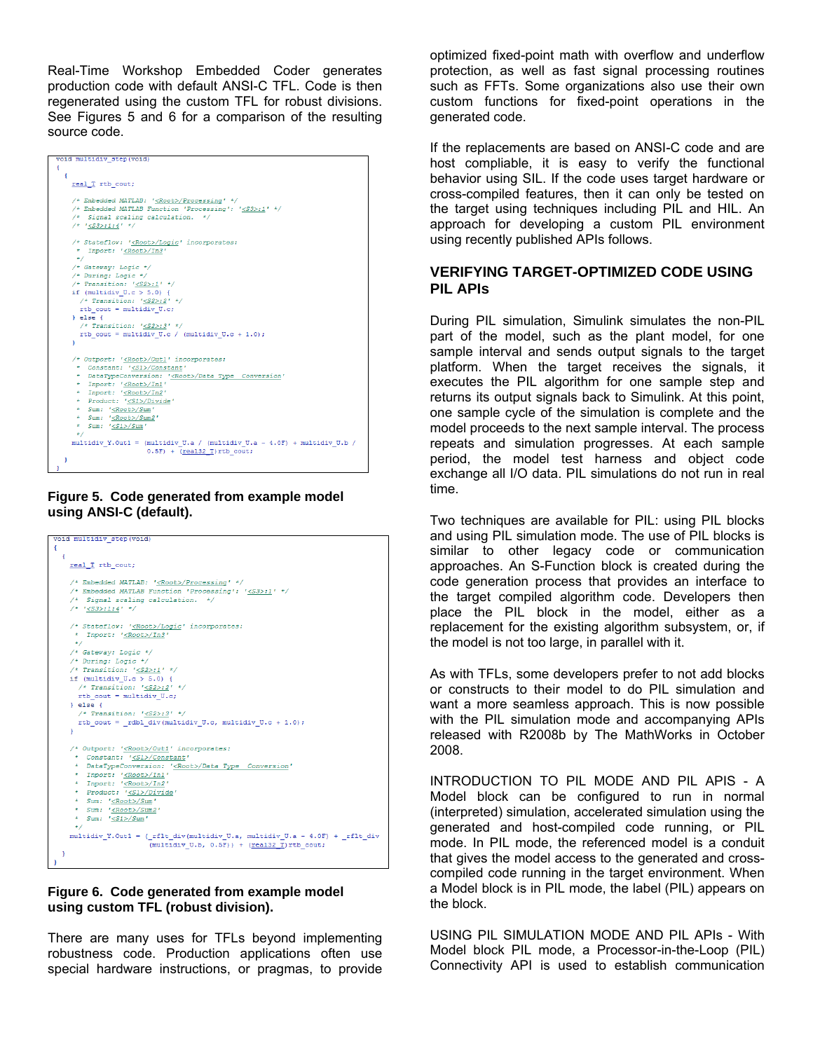Real-Time Workshop Embedded Coder generates production code with default ANSI-C TFL. Code is then regenerated using the custom TFL for robust divisions. See Figures 5 and 6 for a comparison of the resulting source code.



#### **Figure 5. Code generated from example model using ANSI-C (default).**

| void multidiv step (void)                                                  |  |  |  |  |
|----------------------------------------------------------------------------|--|--|--|--|
|                                                                            |  |  |  |  |
| 3                                                                          |  |  |  |  |
| real T rtb cout;                                                           |  |  |  |  |
|                                                                            |  |  |  |  |
| /* Embedded MATLAB: ' <root>/Processing' */</root>                         |  |  |  |  |
| /* Embedded MATLAB Function 'Processing': ' <s3>:1' */</s3>                |  |  |  |  |
| /* Signal scaling calculation. */                                          |  |  |  |  |
| $/* ' < S3 > : 1 : 4' * /$                                                 |  |  |  |  |
|                                                                            |  |  |  |  |
| /* Stateflow: ' <root>/Logic' incorporates:</root>                         |  |  |  |  |
| * Inport: ' <root>/In3'</root>                                             |  |  |  |  |
| $\star$ /                                                                  |  |  |  |  |
| /* Gateway: Logic */                                                       |  |  |  |  |
| /* During: Logic */                                                        |  |  |  |  |
| $/*$ Transition: ' <s2>:1' */</s2>                                         |  |  |  |  |
| if (multidiv $U_{1}c > 5.0$ ) {                                            |  |  |  |  |
| $\frac{1}{2}$ Transition: ' <s2>:2' */</s2>                                |  |  |  |  |
|                                                                            |  |  |  |  |
| rtb cout = multidiv $U.c$ ;                                                |  |  |  |  |
| $l$ else $l$                                                               |  |  |  |  |
| $/*$ Transition: ' <s2>:3' */</s2>                                         |  |  |  |  |
| rtb cout = rdbl div(multidiv U.c, multidiv U.c + 1.0);                     |  |  |  |  |
| x                                                                          |  |  |  |  |
| /* Outport: ' <root>/Out1' incorporates:</root>                            |  |  |  |  |
|                                                                            |  |  |  |  |
| * Constant: ' <s1>/Constant'</s1>                                          |  |  |  |  |
| * DataTypeConversion: ' <root>/Data Type Conversion'</root>                |  |  |  |  |
| * Inport: ' <root>/In1'</root>                                             |  |  |  |  |
| * Inport: ' <root>/In2'</root>                                             |  |  |  |  |
| * Product: ' <s1>/Divide'</s1>                                             |  |  |  |  |
| * Sum: ' <root>/Sum'</root>                                                |  |  |  |  |
| * Sum: ' <root>/Sum2'</root>                                               |  |  |  |  |
| * Sum: ' <s1>/Sum'</s1>                                                    |  |  |  |  |
| $\star$ /                                                                  |  |  |  |  |
| multidiv Y.Out1 = ( rflt div(multidiv U.a, multidiv U.a - 4.0F) + rflt div |  |  |  |  |
| $(multidity U.b, 0.5F)) + (real32 T) rtb cout;$                            |  |  |  |  |
| Ŧ                                                                          |  |  |  |  |
|                                                                            |  |  |  |  |

#### **Figure 6. Code generated from example model using custom TFL (robust division).**

There are many uses for TFLs beyond implementing robustness code. Production applications often use special hardware instructions, or pragmas, to provide

optimized fixed-point math with overflow and underflow protection, as well as fast signal processing routines such as FFTs. Some organizations also use their own custom functions for fixed-point operations in the generated code.

If the replacements are based on ANSI-C code and are host compliable, it is easy to verify the functional behavior using SIL. If the code uses target hardware or cross-compiled features, then it can only be tested on the target using techniques including PIL and HIL. An approach for developing a custom PIL environment using recently published APIs follows.

# **VERIFYING TARGET-OPTIMIZED CODE USING PIL APIs**

During PIL simulation, Simulink simulates the non-PIL part of the model, such as the plant model, for one sample interval and sends output signals to the target platform. When the target receives the signals, it executes the PIL algorithm for one sample step and returns its output signals back to Simulink. At this point, one sample cycle of the simulation is complete and the model proceeds to the next sample interval. The process repeats and simulation progresses. At each sample period, the model test harness and object code exchange all I/O data. PIL simulations do not run in real time.

Two techniques are available for PIL: using PIL blocks and using PIL simulation mode. The use of PIL blocks is similar to other legacy code or communication approaches. An S-Function block is created during the code generation process that provides an interface to the target compiled algorithm code. Developers then place the PIL block in the model, either as a replacement for the existing algorithm subsystem, or, if the model is not too large, in parallel with it.

As with TFLs, some developers prefer to not add blocks or constructs to their model to do PIL simulation and want a more seamless approach. This is now possible with the PIL simulation mode and accompanying APIs released with R2008b by The MathWorks in October 2008.

INTRODUCTION TO PIL MODE AND PIL APIS - A Model block can be configured to run in normal (interpreted) simulation, accelerated simulation using the generated and host-compiled code running, or PIL mode. In PIL mode, the referenced model is a conduit that gives the model access to the generated and crosscompiled code running in the target environment. When a Model block is in PIL mode, the label (PIL) appears on the block.

USING PIL SIMULATION MODE AND PIL APIs - With Model block PIL mode, a Processor-in-the-Loop (PIL) Connectivity API is used to establish communication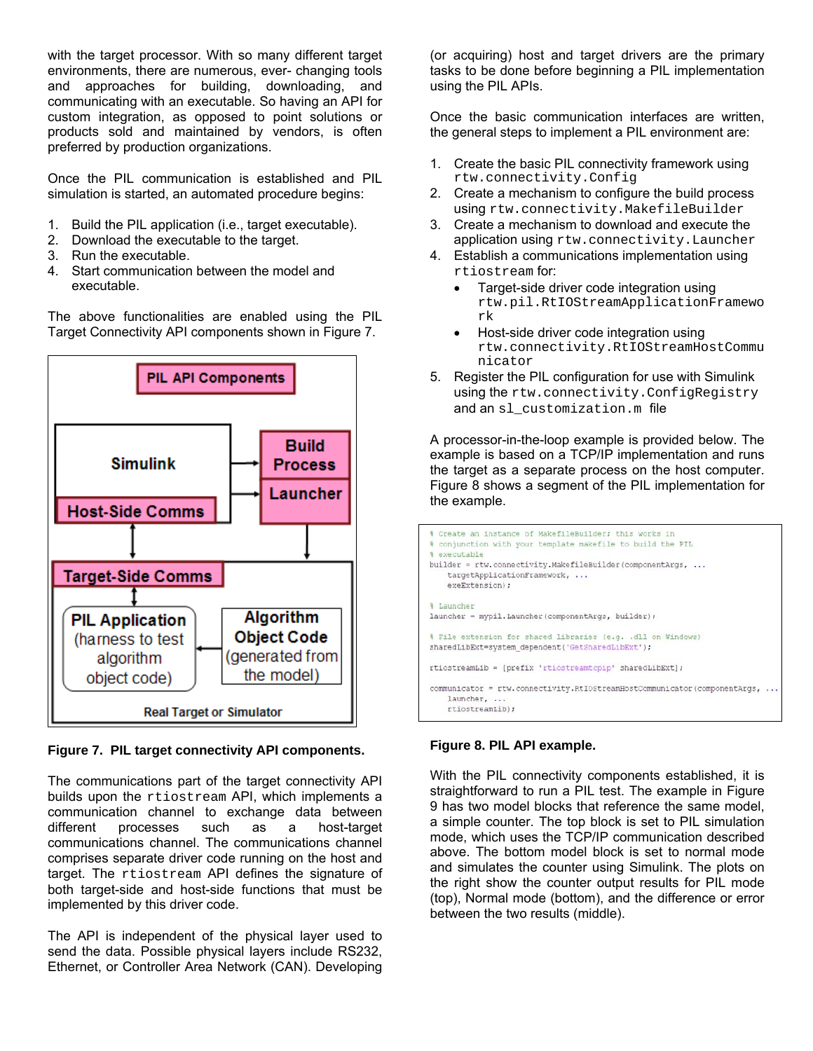with the target processor. With so many different target environments, there are numerous, ever- changing tools and approaches for building, downloading, and communicating with an executable. So having an API for custom integration, as opposed to point solutions or products sold and maintained by vendors, is often preferred by production organizations.

Once the PIL communication is established and PIL simulation is started, an automated procedure begins:

- 1. Build the PIL application (i.e., target executable).
- 2. Download the executable to the target.
- 3. Run the executable.
- 4. Start communication between the model and executable.

The above functionalities are enabled using the PIL Target Connectivity API components shown in Figure 7.



**Figure 7. PIL target connectivity API components.** 

The communications part of the target connectivity API builds upon the rtiostream API, which implements a communication channel to exchange data between different processes such as a host-target communications channel. The communications channel comprises separate driver code running on the host and target. The rtiostream API defines the signature of both target-side and host-side functions that must be implemented by this driver code.

The API is independent of the physical layer used to send the data. Possible physical layers include RS232, Ethernet, or Controller Area Network (CAN). Developing

(or acquiring) host and target drivers are the primary tasks to be done before beginning a PIL implementation using the PIL APIs.

Once the basic communication interfaces are written, the general steps to implement a PIL environment are:

- 1. Create the basic PIL connectivity framework using rtw.connectivity.Config
- 2. Create a mechanism to configure the build process using rtw.connectivity.MakefileBuilder
- 3. Create a mechanism to download and execute the application using rtw.connectivity.Launcher
- 4. Establish a communications implementation using rtiostream for:
	- Target-side driver code integration using rtw.pil.RtIOStreamApplicationFramewo rk
	- Host-side driver code integration using rtw.connectivity.RtIOStreamHostCommu nicator
- 5. Register the PIL configuration for use with Simulink using the rtw.connectivity.ConfigRegistry and an sl\_customization.m file

A processor-in-the-loop example is provided below. The example is based on a TCP/IP implementation and runs the target as a separate process on the host computer. Figure 8 shows a segment of the PIL implementation for the example.



# **Figure 8. PIL API example.**

With the PIL connectivity components established, it is straightforward to run a PIL test. The example in Figure 9 has two model blocks that reference the same model, a simple counter. The top block is set to PIL simulation mode, which uses the TCP/IP communication described above. The bottom model block is set to normal mode and simulates the counter using Simulink. The plots on the right show the counter output results for PIL mode (top), Normal mode (bottom), and the difference or error between the two results (middle).